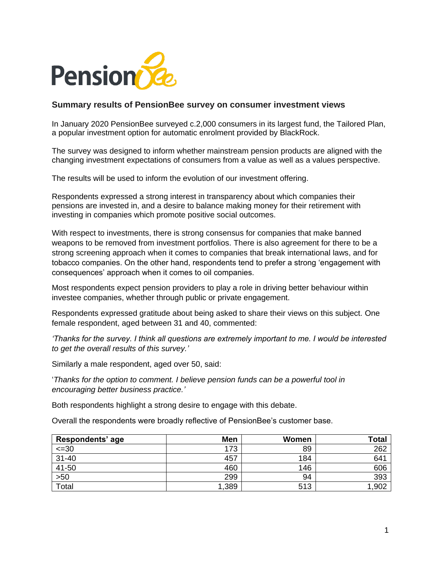

## **Summary results of PensionBee survey on consumer investment views**

In January 2020 PensionBee surveyed c.2,000 consumers in its largest fund, the Tailored Plan, a popular investment option for automatic enrolment provided by BlackRock.

The survey was designed to inform whether mainstream pension products are aligned with the changing investment expectations of consumers from a value as well as a values perspective.

The results will be used to inform the evolution of our investment offering.

Respondents expressed a strong interest in transparency about which companies their pensions are invested in, and a desire to balance making money for their retirement with investing in companies which promote positive social outcomes.

With respect to investments, there is strong consensus for companies that make banned weapons to be removed from investment portfolios. There is also agreement for there to be a strong screening approach when it comes to companies that break international laws, and for tobacco companies. On the other hand, respondents tend to prefer a strong 'engagement with consequences' approach when it comes to oil companies.

Most respondents expect pension providers to play a role in driving better behaviour within investee companies, whether through public or private engagement.

Respondents expressed gratitude about being asked to share their views on this subject. One female respondent, aged between 31 and 40, commented:

*'Thanks for the survey. I think all questions are extremely important to me. I would be interested to get the overall results of this survey.'*

Similarly a male respondent, aged over 50, said:

'*Thanks for the option to comment. I believe pension funds can be a powerful tool in encouraging better business practice.'* 

Both respondents highlight a strong desire to engage with this debate.

Overall the respondents were broadly reflective of PensionBee's customer base.

| Respondents' age | Men   | Women | $\tau$ otal |
|------------------|-------|-------|-------------|
| $\leq 30$        | 173   | 89    | 262         |
| $31 - 40$        | 457   | 184   | 641         |
| 41-50            | 460   | 146   | 606         |
| $>50$            | 299   | 94    | 393         |
| Total            | 1,389 | 513   | 1,902       |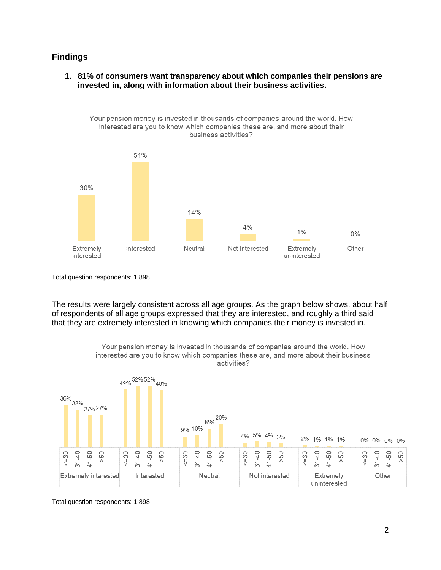## **Findings**

**1. 81% of consumers want transparency about which companies their pensions are invested in, along with information about their business activities.**



Total question respondents: 1,898

The results were largely consistent across all age groups. As the graph below shows, about half of respondents of all age groups expressed that they are interested, and roughly a third said that they are extremely interested in knowing which companies their money is invested in.



Total question respondents: 1,898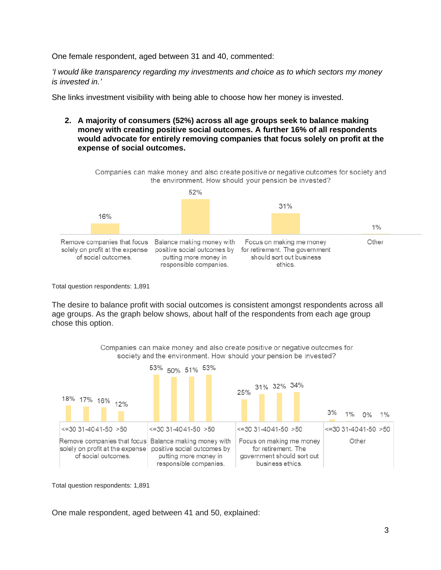One female respondent, aged between 31 and 40, commented:

*'I would like transparency regarding my investments and choice as to which sectors my money is invested in.'*

She links investment visibility with being able to choose how her money is invested.

**2. A majority of consumers (52%) across all age groups seek to balance making money with creating positive social outcomes. A further 16% of all respondents would advocate for entirely removing companies that focus solely on profit at the expense of social outcomes.**



Total question respondents: 1,891

The desire to balance profit with social outcomes is consistent amongst respondents across all age groups. As the graph below shows, about half of the respondents from each age group chose this option.

> Companies can make money and also create positive or negative outcomes for society and the environment. How should your pension be invested?



Total question respondents: 1,891

One male respondent, aged between 41 and 50, explained: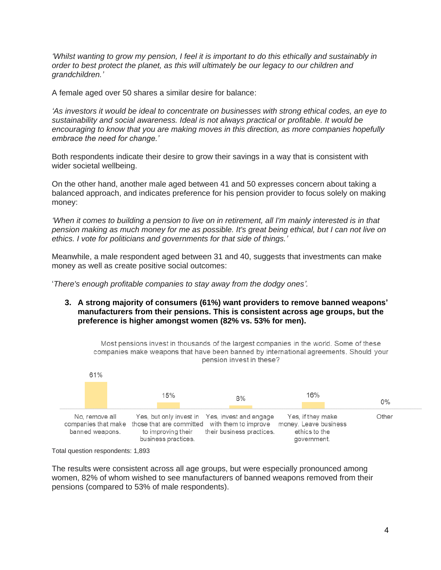*'Whilst wanting to grow my pension, I feel it is important to do this ethically and sustainably in order to best protect the planet, as this will ultimately be our legacy to our children and grandchildren.'*

A female aged over 50 shares a similar desire for balance:

*'As investors it would be ideal to concentrate on businesses with strong ethical codes, an eye to sustainability and social awareness. Ideal is not always practical or profitable. It would be encouraging to know that you are making moves in this direction, as more companies hopefully embrace the need for change.'*

Both respondents indicate their desire to grow their savings in a way that is consistent with wider societal wellbeing.

On the other hand, another male aged between 41 and 50 expresses concern about taking a balanced approach, and indicates preference for his pension provider to focus solely on making money:

*'When it comes to building a pension to live on in retirement, all I'm mainly interested is in that pension making as much money for me as possible. It's great being ethical, but I can not live on ethics. I vote for politicians and governments for that side of things.'*

Meanwhile, a male respondent aged between 31 and 40, suggests that investments can make money as well as create positive social outcomes:

'*There's enough profitable companies to stay away from the dodgy ones'.*

**3. A strong majority of consumers (61%) want providers to remove banned weapons' manufacturers from their pensions. This is consistent across age groups, but the preference is higher amongst women (82% vs. 53% for men).**

Most pensions invest in thousands of the largest companies in the world. Some of these companies make weapons that have been banned by international agreements. Should your pension invest in these?



Total question respondents: 1,893

The results were consistent across all age groups, but were especially pronounced among women, 82% of whom wished to see manufacturers of banned weapons removed from their pensions (compared to 53% of male respondents).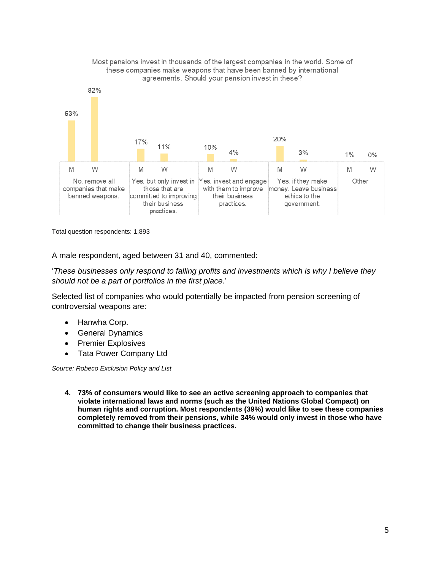

Most pensions invest in thousands of the largest companies in the world. Some of these companies make weapons that have been banned by international

Total question respondents: 1,893

A male respondent, aged between 31 and 40, commented:

'*These businesses only respond to falling profits and investments which is why I believe they should not be a part of portfolios in the first place.*'

Selected list of companies who would potentially be impacted from pension screening of controversial weapons are:

- Hanwha Corp.
- General Dynamics
- Premier Explosives
- Tata Power Company Ltd

*Source: Robeco Exclusion Policy and List*

**4. 73% of consumers would like to see an active screening approach to companies that violate international laws and norms (such as the United Nations Global Compact) on human rights and corruption. Most respondents (39%) would like to see these companies completely removed from their pensions, while 34% would only invest in those who have committed to change their business practices.**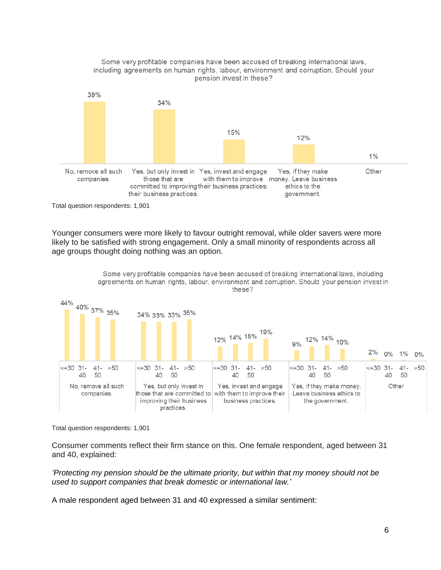

Total question respondents: 1,901

Younger consumers were more likely to favour outright removal, while older savers were more likely to be satisfied with strong engagement. Only a small minority of respondents across all age groups thought doing nothing was an option.



Total question respondents: 1,901

Consumer comments reflect their firm stance on this. One female respondent, aged between 31 and 40, explained:

*'Protecting my pension should be the ultimate priority, but within that my money should not be used to support companies that break domestic or international law.'*

A male respondent aged between 31 and 40 expressed a similar sentiment: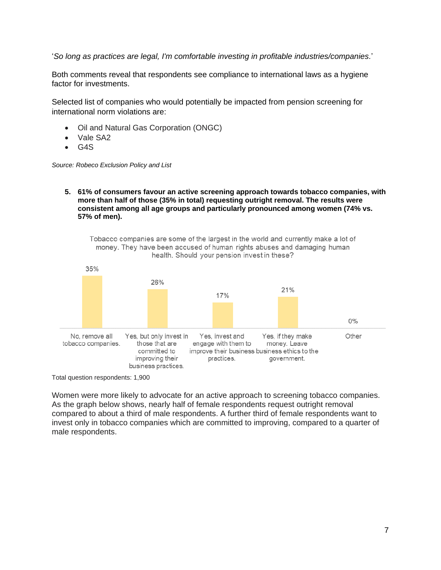'*So long as practices are legal, I'm comfortable investing in profitable industries/companies.*'

Both comments reveal that respondents see compliance to international laws as a hygiene factor for investments.

Selected list of companies who would potentially be impacted from pension screening for international norm violations are:

- Oil and Natural Gas Corporation (ONGC)
- Vale SA2
- G4S

*Source: Robeco Exclusion Policy and List*

**5. 61% of consumers favour an active screening approach towards tobacco companies, with more than half of those (35% in total) requesting outright removal. The results were consistent among all age groups and particularly pronounced among women (74% vs. 57% of men).**

Tobacco companies are some of the largest in the world and currently make a lot of money. They have been accused of human rights abuses and damaging human health. Should your pension invest in these?



Total question respondents: 1,900

Women were more likely to advocate for an active approach to screening tobacco companies. As the graph below shows, nearly half of female respondents request outright removal compared to about a third of male respondents. A further third of female respondents want to invest only in tobacco companies which are committed to improving, compared to a quarter of male respondents.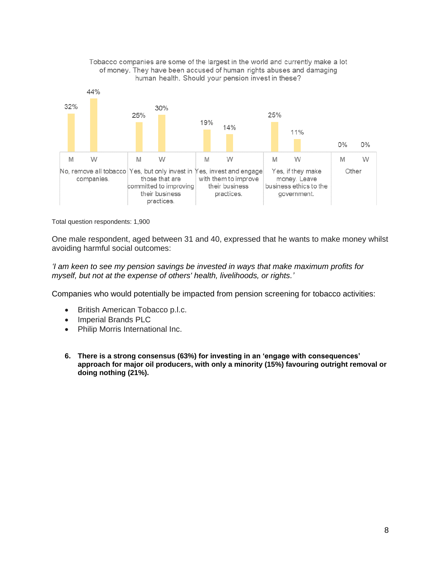

Tobacco companies are some of the largest in the world and currently make a lot of money. They have been accused of human rights abuses and damaging human health. Should your pension invest in these?

Total question respondents: 1,900

One male respondent, aged between 31 and 40, expressed that he wants to make money whilst avoiding harmful social outcomes:

*'I am keen to see my pension savings be invested in ways that make maximum profits for myself, but not at the expense of others' health, livelihoods, or rights.'*

Companies who would potentially be impacted from pension screening for tobacco activities:

- British American Tobacco p.l.c.
- Imperial Brands PLC
- Philip Morris International Inc.
- **6. There is a strong consensus (63%) for investing in an 'engage with consequences' approach for major oil producers, with only a minority (15%) favouring outright removal or doing nothing (21%).**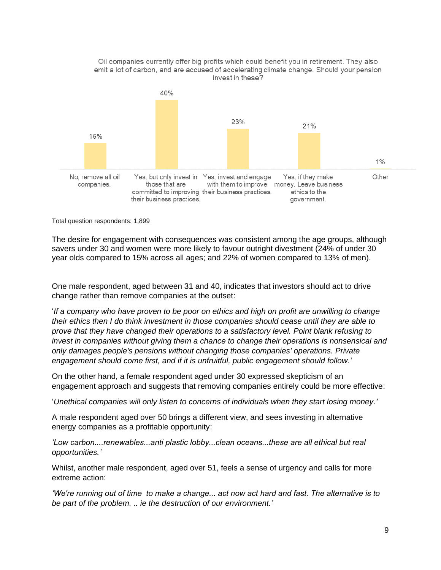

Total question respondents: 1,899

The desire for engagement with consequences was consistent among the age groups, although savers under 30 and women were more likely to favour outright divestment (24% of under 30 year olds compared to 15% across all ages; and 22% of women compared to 13% of men).

One male respondent, aged between 31 and 40, indicates that investors should act to drive change rather than remove companies at the outset:

'*If a company who have proven to be poor on ethics and high on profit are unwilling to change their ethics then I do think investment in those companies should cease until they are able to prove that they have changed their operations to a satisfactory level. Point blank refusing to invest in companies without giving them a chance to change their operations is nonsensical and only damages people's pensions without changing those companies' operations. Private engagement should come first, and if it is unfruitful, public engagement should follow.'*

On the other hand, a female respondent aged under 30 expressed skepticism of an engagement approach and suggests that removing companies entirely could be more effective:

'*Unethical companies will only listen to concerns of individuals when they start losing money.'*

A male respondent aged over 50 brings a different view, and sees investing in alternative energy companies as a profitable opportunity:

*'Low carbon....renewables...anti plastic lobby...clean oceans...these are all ethical but real opportunities.'*

Whilst, another male respondent, aged over 51, feels a sense of urgency and calls for more extreme action:

*'We're running out of time to make a change... act now act hard and fast. The alternative is to be part of the problem. .. ie the destruction of our environment.'*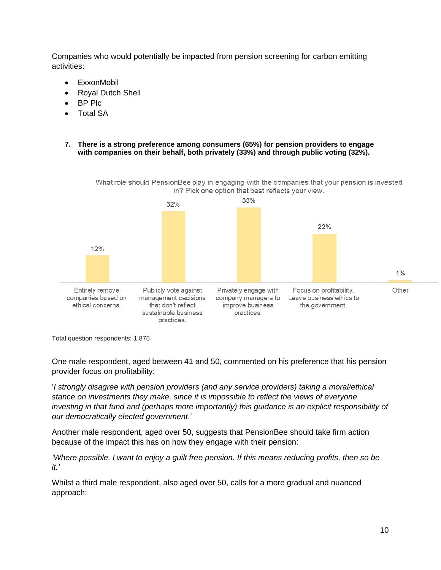Companies who would potentially be impacted from pension screening for carbon emitting activities:

- **ExxonMobil**
- Royal Dutch Shell
- BP Plc
- Total SA

## **7. There is a strong preference among consumers (65%) for pension providers to engage with companies on their behalf, both privately (33%) and through public voting (32%).**

What role should PensionBee play in engaging with the companies that your pension is invested in? Pick one option that best reflects your view.



Total question respondents: 1,875

One male respondent, aged between 41 and 50, commented on his preference that his pension provider focus on profitability:

'*I strongly disagree with pension providers (and any service providers) taking a moral/ethical stance on investments they make, since it is impossible to reflect the views of everyone investing in that fund and (perhaps more importantly) this guidance is an explicit responsibility of our democratically elected government*.*'*

Another male respondent, aged over 50, suggests that PensionBee should take firm action because of the impact this has on how they engage with their pension:

*'Where possible, I want to enjoy a guilt free pension. If this means reducing profits, then so be it.'*

Whilst a third male respondent, also aged over 50, calls for a more gradual and nuanced approach: